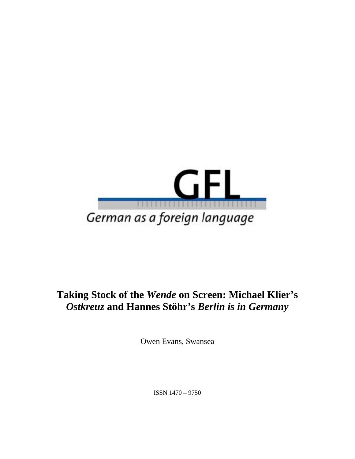

# **Taking Stock of the** *Wende* **on Screen: Michael Klier's**  *Ostkreuz* **and Hannes Stöhr's** *Berlin is in Germany*

Owen Evans, Swansea

ISSN 1470 – 9750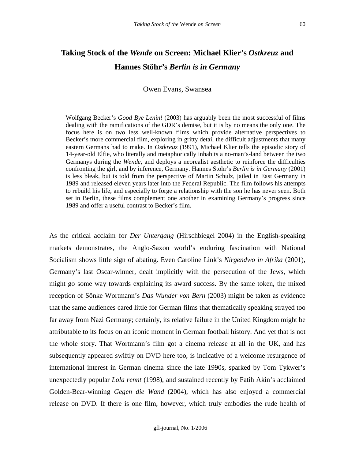## **Taking Stock of the** *Wende* **on Screen: Michael Klier's** *Ostkreuz* **and Hannes Stöhr's** *Berlin is in Germany*

#### Owen Evans, Swansea

Wolfgang Becker's *Good Bye Lenin!* (2003) has arguably been the most successful of films dealing with the ramifications of the GDR's demise, but it is by no means the only one. The focus here is on two less well-known films which provide alternative perspectives to Becker's more commercial film, exploring in gritty detail the difficult adjustments that many eastern Germans had to make. In *Ostkreuz* (1991), Michael Klier tells the episodic story of 14-year-old Elfie, who literally and metaphorically inhabits a no-man's-land between the two Germanys during the *Wende,* and deploys a neorealist aesthetic to reinforce the difficulties confronting the girl, and by inference, Germany. Hannes Stöhr's *Berlin is in Germany* (2001) is less bleak, but is told from the perspective of Martin Schulz, jailed in East Germany in 1989 and released eleven years later into the Federal Republic. The film follows his attempts to rebuild his life, and especially to forge a relationship with the son he has never seen. Both set in Berlin, these films complement one another in examining Germany's progress since 1989 and offer a useful contrast to Becker's film.

As the critical acclaim for *Der Untergang* (Hirschbiegel 2004) in the English-speaking markets demonstrates, the Anglo-Saxon world's enduring fascination with National Socialism shows little sign of abating. Even Caroline Link's *Nirgendwo in Afrika* (2001), Germany's last Oscar-winner, dealt implicitly with the persecution of the Jews, which might go some way towards explaining its award success. By the same token, the mixed reception of Sönke Wortmann's *Das Wunder von Bern* (2003) might be taken as evidence that the same audiences cared little for German films that thematically speaking strayed too far away from Nazi Germany; certainly, its relative failure in the United Kingdom might be attributable to its focus on an iconic moment in German football history. And yet that is not the whole story. That Wortmann's film got a cinema release at all in the UK, and has subsequently appeared swiftly on DVD here too, is indicative of a welcome resurgence of international interest in German cinema since the late 1990s, sparked by Tom Tykwer's unexpectedly popular *Lola rennt* (1998), and sustained recently by Fatih Akin's acclaimed Golden-Bear-winning *Gegen die Wand* (2004), which has also enjoyed a commercial release on DVD. If there is one film, however, which truly embodies the rude health of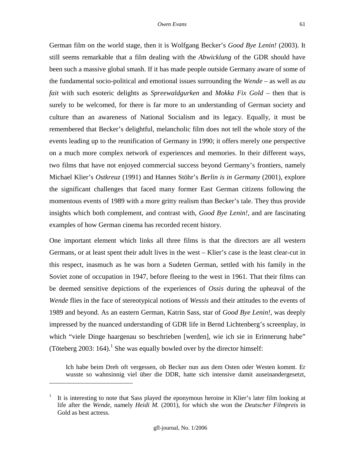German film on the world stage, then it is Wolfgang Becker's *Good Bye Lenin!* (2003). It still seems remarkable that a film dealing with the *Abwicklung* of the GDR should have been such a massive global smash. If it has made people outside Germany aware of some of the fundamental socio-political and emotional issues surrounding the *Wende* – as well as *au fait* with such esoteric delights as *Spreewaldgurken* and *Mokka Fix Gold* – then that is surely to be welcomed, for there is far more to an understanding of German society and culture than an awareness of National Socialism and its legacy. Equally, it must be remembered that Becker's delightful, melancholic film does not tell the whole story of the events leading up to the reunification of Germany in 1990; it offers merely one perspective on a much more complex network of experiences and memories. In their different ways, two films that have not enjoyed commercial success beyond Germany's frontiers, namely Michael Klier's *Ostkreuz* (1991) and Hannes Stöhr's *Berlin is in Germany* (2001), explore the significant challenges that faced many former East German citizens following the momentous events of 1989 with a more gritty realism than Becker's tale. They thus provide insights which both complement, and contrast with, *Good Bye Lenin!*, and are fascinating examples of how German cinema has recorded recent history.

One important element which links all three films is that the directors are all western Germans, or at least spent their adult lives in the west – Klier's case is the least clear-cut in this respect, inasmuch as he was born a Sudeten German, settled with his family in the Soviet zone of occupation in 1947, before fleeing to the west in 1961. That their films can be deemed sensitive depictions of the experiences of *Ossis* during the upheaval of the *Wende* flies in the face of stereotypical notions of *Wessis* and their attitudes to the events of 1989 and beyond. As an eastern German, Katrin Sass, star of *Good Bye Lenin!*, was deeply impressed by the nuanced understanding of GDR life in Bernd Lichtenberg's screenplay, in which "viele Dinge haargenau so beschrieben [werden], wie ich sie in Erinnerung habe" (Töteberg 2003: 164).<sup>1</sup> She was equally bowled over by the director himself:

Ich habe beim Dreh oft vergessen, ob Becker nun aus dem Osten oder Westen kommt. Er wusste so wahnsinnig viel über die DDR, hatte sich intensive damit auseinandergesetzt,

<sup>1</sup> It is interesting to note that Sass played the eponymous heroine in Klier's later film looking at life after the *Wende*, namely *Heidi M.* (2001), for which she won the *Deutscher Filmpreis* in Gold as best actress.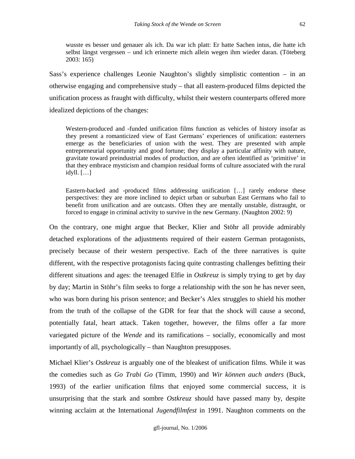wusste es besser und genauer als ich. Da war ich platt: Er hatte Sachen intus, die hatte ich selbst längst vergessen – und ich erinnerte mich allein wegen ihm wieder daran. (Töteberg 2003: 165)

Sass's experience challenges Leonie Naughton's slightly simplistic contention – in an otherwise engaging and comprehensive study – that all eastern-produced films depicted the unification process as fraught with difficulty, whilst their western counterparts offered more idealized depictions of the changes:

Western-produced and -funded unification films function as vehicles of history insofar as they present a romanticized view of East Germans' experiences of unification: easterners emerge as the beneficiaries of union with the west. They are presented with ample entrepreneurial opportunity and good fortune; they display a particular affinity with nature, gravitate toward preindustrial modes of production, and are often identified as 'primitive' in that they embrace mysticism and champion residual forms of culture associated with the rural idyll. […]

Eastern-backed and -produced films addressing unification […] rarely endorse these perspectives: they are more inclined to depict urban or suburban East Germans who fail to benefit from unification and are outcasts. Often they are mentally unstable, distraught, or forced to engage in criminal activity to survive in the new Germany. (Naughton 2002: 9)

On the contrary, one might argue that Becker, Klier and Stöhr all provide admirably detached explorations of the adjustments required of their eastern German protagonists, precisely because of their western perspective. Each of the three narratives is quite different, with the respective protagonists facing quite contrasting challenges befitting their different situations and ages: the teenaged Elfie in *Ostkreuz* is simply trying to get by day by day; Martin in Stöhr's film seeks to forge a relationship with the son he has never seen, who was born during his prison sentence; and Becker's Alex struggles to shield his mother from the truth of the collapse of the GDR for fear that the shock will cause a second, potentially fatal, heart attack. Taken together, however, the films offer a far more variegated picture of the *Wende* and its ramifications – socially, economically and most importantly of all, psychologically – than Naughton presupposes.

Michael Klier's *Ostkreuz* is arguably one of the bleakest of unification films. While it was the comedies such as *Go Trabi Go* (Timm, 1990) and *Wir können auch anders* (Buck, 1993) of the earlier unification films that enjoyed some commercial success, it is unsurprising that the stark and sombre *Ostkreuz* should have passed many by, despite winning acclaim at the International *Jugendfilmfest* in 1991. Naughton comments on the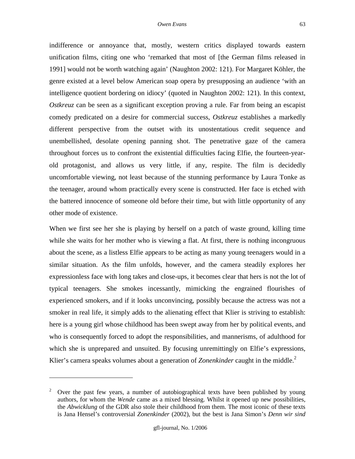indifference or annoyance that, mostly, western critics displayed towards eastern unification films, citing one who 'remarked that most of [the German films released in 1991] would not be worth watching again' (Naughton 2002: 121). For Margaret Köhler, the genre existed at a level below American soap opera by presupposing an audience 'with an intelligence quotient bordering on idiocy' (quoted in Naughton 2002: 121). In this context, *Ostkreuz* can be seen as a significant exception proving a rule. Far from being an escapist comedy predicated on a desire for commercial success, *Ostkreuz* establishes a markedly different perspective from the outset with its unostentatious credit sequence and unembellished, desolate opening panning shot. The penetrative gaze of the camera throughout forces us to confront the existential difficulties facing Elfie, the fourteen-yearold protagonist, and allows us very little, if any, respite. The film is decidedly

uncomfortable viewing, not least because of the stunning performance by Laura Tonke as the teenager, around whom practically every scene is constructed. Her face is etched with the battered innocence of someone old before their time, but with little opportunity of any other mode of existence.

When we first see her she is playing by herself on a patch of waste ground, killing time while she waits for her mother who is viewing a flat. At first, there is nothing incongruous about the scene, as a listless Elfie appears to be acting as many young teenagers would in a similar situation. As the film unfolds, however, and the camera steadily explores her expressionless face with long takes and close-ups, it becomes clear that hers is not the lot of typical teenagers. She smokes incessantly, mimicking the engrained flourishes of experienced smokers, and if it looks unconvincing, possibly because the actress was not a smoker in real life, it simply adds to the alienating effect that Klier is striving to establish: here is a young girl whose childhood has been swept away from her by political events, and who is consequently forced to adopt the responsibilities, and mannerisms, of adulthood for which she is unprepared and unsuited. By focusing unremittingly on Elfie's expressions, Klier's camera speaks volumes about a generation of *Zonenkinder* caught in the middle.<sup>2</sup>

<u>.</u>

<sup>&</sup>lt;sup>2</sup> Over the past few years, a number of autobiographical texts have been published by young authors, for whom the *Wende* came as a mixed blessing. Whilst it opened up new possibilities, the *Abwicklung* of the GDR also stole their childhood from them. The most iconic of these texts is Jana Hensel's controversial *Zonenkinder* (2002), but the best is Jana Simon's *Denn wir sind*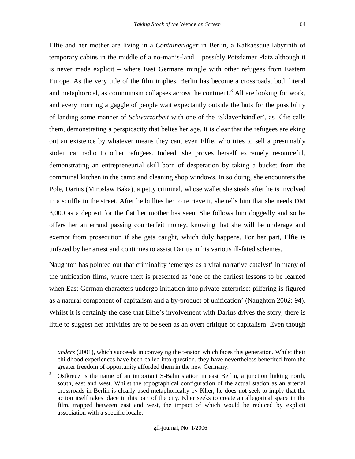Elfie and her mother are living in a *Containerlager* in Berlin, a Kafkaesque labyrinth of temporary cabins in the middle of a no-man's-land – possibly Potsdamer Platz although it is never made explicit – where East Germans mingle with other refugees from Eastern Europe. As the very title of the film implies, Berlin has become a crossroads, both literal and metaphorical, as communism collapses across the continent.<sup>3</sup> All are looking for work, and every morning a gaggle of people wait expectantly outside the huts for the possibility of landing some manner of *Schwarzarbeit* with one of the 'Sklavenhändler', as Elfie calls them, demonstrating a perspicacity that belies her age. It is clear that the refugees are eking out an existence by whatever means they can, even Elfie, who tries to sell a presumably stolen car radio to other refugees. Indeed, she proves herself extremely resourceful, demonstrating an entrepreneurial skill born of desperation by taking a bucket from the communal kitchen in the camp and cleaning shop windows. In so doing, she encounters the Pole, Darius (Miroslaw Baka), a petty criminal, whose wallet she steals after he is involved in a scuffle in the street. After he bullies her to retrieve it, she tells him that she needs DM 3,000 as a deposit for the flat her mother has seen. She follows him doggedly and so he offers her an errand passing counterfeit money, knowing that she will be underage and exempt from prosecution if she gets caught, which duly happens. For her part, Elfie is unfazed by her arrest and continues to assist Darius in his various ill-fated schemes.

Naughton has pointed out that criminality 'emerges as a vital narrative catalyst' in many of the unification films, where theft is presented as 'one of the earliest lessons to be learned when East German characters undergo initiation into private enterprise: pilfering is figured as a natural component of capitalism and a by-product of unification' (Naughton 2002: 94). Whilst it is certainly the case that Elfie's involvement with Darius drives the story, there is little to suggest her activities are to be seen as an overt critique of capitalism. Even though

*anders* (2001), which succeeds in conveying the tension which faces this generation. Whilst their childhood experiences have been called into question, they have nevertheless benefited from the greater freedom of opportunity afforded them in the new Germany.

<sup>3</sup> Ostkreuz is the name of an important S-Bahn station in east Berlin, a junction linking north, south, east and west. Whilst the topographical configuration of the actual station as an arterial crossroads in Berlin is clearly used metaphorically by Klier, he does not seek to imply that the action itself takes place in this part of the city. Klier seeks to create an allegorical space in the film, trapped between east and west, the impact of which would be reduced by explicit association with a specific locale.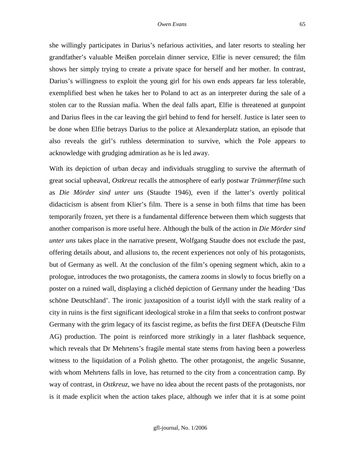she willingly participates in Darius's nefarious activities, and later resorts to stealing her grandfather's valuable Meißen porcelain dinner service, Elfie is never censured; the film shows her simply trying to create a private space for herself and her mother. In contrast, Darius's willingness to exploit the young girl for his own ends appears far less tolerable, exemplified best when he takes her to Poland to act as an interpreter during the sale of a stolen car to the Russian mafia. When the deal falls apart, Elfie is threatened at gunpoint and Darius flees in the car leaving the girl behind to fend for herself. Justice is later seen to be done when Elfie betrays Darius to the police at Alexanderplatz station, an episode that also reveals the girl's ruthless determination to survive, which the Pole appears to acknowledge with grudging admiration as he is led away.

With its depiction of urban decay and individuals struggling to survive the aftermath of great social upheaval, *Ostkreuz* recalls the atmosphere of early postwar *Trümmerfilme* such as *Die Mörder sind unter uns* (Staudte 1946), even if the latter's overtly political didacticism is absent from Klier's film. There is a sense in both films that time has been temporarily frozen, yet there is a fundamental difference between them which suggests that another comparison is more useful here. Although the bulk of the action in *Die Mörder sind unter uns* takes place in the narrative present, Wolfgang Staudte does not exclude the past, offering details about, and allusions to, the recent experiences not only of his protagonists, but of Germany as well. At the conclusion of the film's opening segment which, akin to a prologue, introduces the two protagonists, the camera zooms in slowly to focus briefly on a poster on a ruined wall, displaying a clichéd depiction of Germany under the heading 'Das schöne Deutschland'. The ironic juxtaposition of a tourist idyll with the stark reality of a city in ruins is the first significant ideological stroke in a film that seeks to confront postwar Germany with the grim legacy of its fascist regime, as befits the first DEFA (Deutsche Film AG) production. The point is reinforced more strikingly in a later flashback sequence, which reveals that Dr Mehrtens's fragile mental state stems from having been a powerless witness to the liquidation of a Polish ghetto. The other protagonist, the angelic Susanne, with whom Mehrtens falls in love, has returned to the city from a concentration camp. By way of contrast, in *Ostkreuz*, we have no idea about the recent pasts of the protagonists, nor is it made explicit when the action takes place, although we infer that it is at some point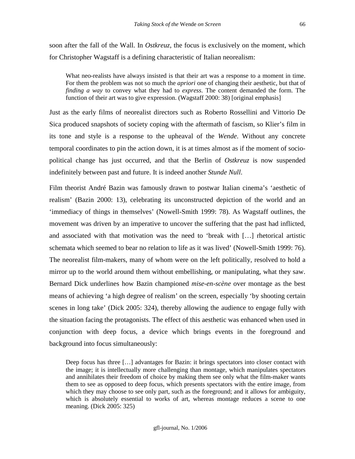soon after the fall of the Wall. In *Ostkreuz*, the focus is exclusively on the moment, which for Christopher Wagstaff is a defining characteristic of Italian neorealism:

What neo-realists have always insisted is that their art was a response to a moment in time. For them the problem was not so much the *apriori* one of changing their aesthetic, but that of *finding a way* to convey what they had to *express*. The content demanded the form. The function of their art was to give expression. (Wagstaff 2000: 38) [original emphasis]

Just as the early films of neorealist directors such as Roberto Rossellini and Vittorio De Sica produced snapshots of society coping with the aftermath of fascism, so Klier's film in its tone and style is a response to the upheaval of the *Wende*. Without any concrete temporal coordinates to pin the action down, it is at times almost as if the moment of sociopolitical change has just occurred, and that the Berlin of *Ostkreuz* is now suspended indefinitely between past and future. It is indeed another *Stunde Null*.

Film theorist André Bazin was famously drawn to postwar Italian cinema's 'aesthetic of realism' (Bazin 2000: 13), celebrating its unconstructed depiction of the world and an 'immediacy of things in themselves' (Nowell-Smith 1999: 78). As Wagstaff outlines, the movement was driven by an imperative to uncover the suffering that the past had inflicted, and associated with that motivation was the need to 'break with […] rhetorical artistic schemata which seemed to bear no relation to life as it was lived' (Nowell-Smith 1999: 76). The neorealist film-makers, many of whom were on the left politically, resolved to hold a mirror up to the world around them without embellishing, or manipulating, what they saw. Bernard Dick underlines how Bazin championed *mise-en-scène* over montage as the best means of achieving 'a high degree of realism' on the screen, especially 'by shooting certain scenes in long take' (Dick 2005: 324), thereby allowing the audience to engage fully with the situation facing the protagonists. The effect of this aesthetic was enhanced when used in conjunction with deep focus, a device which brings events in the foreground and background into focus simultaneously:

Deep focus has three […] advantages for Bazin: it brings spectators into closer contact with the image; it is intellectually more challenging than montage, which manipulates spectators and annihilates their freedom of choice by making them see only what the film-maker wants them to see as opposed to deep focus, which presents spectators with the entire image, from which they may choose to see only part, such as the foreground; and it allows for ambiguity, which is absolutely essential to works of art, whereas montage reduces a scene to one meaning. (Dick 2005: 325)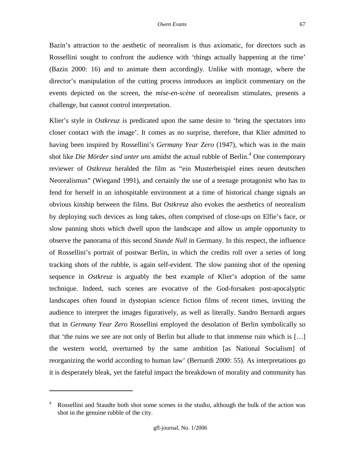Bazin's attraction to the aesthetic of neorealism is thus axiomatic, for directors such as Rossellini sought to confront the audience with 'things actually happening at the time' (Bazin 2000: 16) and to animate them accordingly. Unlike with montage, where the director's manipulation of the cutting process introduces an implicit commentary on the events depicted on the screen, the *mise-en-scène* of neorealism stimulates, presents a challenge, but cannot control interpretation.

Klier's style in *Ostkreuz* is predicated upon the same desire to 'bring the spectators into closer contact with the image'. It comes as no surprise, therefore, that Klier admitted to having been inspired by Rossellini's *Germany Year Zero* (1947), which was in the main shot like *Die Mörder sind unter uns* amidst the actual rubble of Berlin.<sup>4</sup> One contemporary reviewer of *Ostkreuz* heralded the film as "ein Musterbeispiel eines neuen deutschen Neorealismus" (Wiegand 1991), and certainly the use of a teenage protagonist who has to fend for herself in an inhospitable environment at a time of historical change signals an obvious kinship between the films. But *Ostkreuz* also evokes the aesthetics of neorealism by deploying such devices as long takes, often comprised of close-ups on Elfie's face, or slow panning shots which dwell upon the landscape and allow us ample opportunity to observe the panorama of this second *Stunde Null* in Germany. In this respect, the influence of Rossellini's portrait of postwar Berlin, in which the credits roll over a series of long tracking shots of the rubble, is again self-evident. The slow panning shot of the opening sequence in *Ostkreuz* is arguably the best example of Klier's adoption of the same technique. Indeed, such scenes are evocative of the God-forsaken post-apocalyptic landscapes often found in dystopian science fiction films of recent times, inviting the audience to interpret the images figuratively, as well as literally. Sandro Bernardi argues that in *Germany Year Zero* Rossellini employed the desolation of Berlin symbolically so that 'the ruins we see are not only of Berlin but allude to that immense ruin which is […] the western world, overturned by the same ambition [as National Socialism] of reorganizing the world according to human law' (Bernardi 2000: 55). As interpretations go it is desperately bleak, yet the fateful impact the breakdown of morality and community has

<sup>4</sup> Rossellini and Staudte both shot some scenes in the studio, although the bulk of the action was shot in the genuine rubble of the city.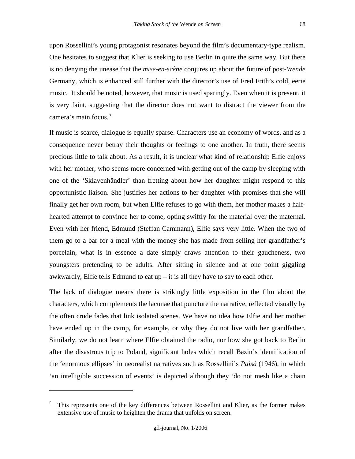upon Rossellini's young protagonist resonates beyond the film's documentary-type realism. One hesitates to suggest that Klier is seeking to use Berlin in quite the same way. But there is no denying the unease that the *mise-en-scène* conjures up about the future of post-*Wende* Germany, which is enhanced still further with the director's use of Fred Frith's cold, eerie music. It should be noted, however, that music is used sparingly. Even when it is present, it is very faint, suggesting that the director does not want to distract the viewer from the camera's main focus.<sup>5</sup>

If music is scarce, dialogue is equally sparse. Characters use an economy of words, and as a consequence never betray their thoughts or feelings to one another. In truth, there seems precious little to talk about. As a result, it is unclear what kind of relationship Elfie enjoys with her mother, who seems more concerned with getting out of the camp by sleeping with one of the 'Sklavenhändler' than fretting about how her daughter might respond to this opportunistic liaison. She justifies her actions to her daughter with promises that she will finally get her own room, but when Elfie refuses to go with them, her mother makes a halfhearted attempt to convince her to come, opting swiftly for the material over the maternal. Even with her friend, Edmund (Steffan Cammann), Elfie says very little. When the two of them go to a bar for a meal with the money she has made from selling her grandfather's porcelain, what is in essence a date simply draws attention to their gaucheness, two youngsters pretending to be adults. After sitting in silence and at one point giggling awkwardly, Elfie tells Edmund to eat  $up$  – it is all they have to say to each other.

The lack of dialogue means there is strikingly little exposition in the film about the characters, which complements the lacunae that puncture the narrative, reflected visually by the often crude fades that link isolated scenes. We have no idea how Elfie and her mother have ended up in the camp, for example, or why they do not live with her grandfather. Similarly, we do not learn where Elfie obtained the radio, nor how she got back to Berlin after the disastrous trip to Poland, significant holes which recall Bazin's identification of the 'enormous ellipses' in neorealist narratives such as Rossellini's *Paisà* (1946), in which 'an intelligible succession of events' is depicted although they 'do not mesh like a chain

<sup>5</sup> This represents one of the key differences between Rossellini and Klier, as the former makes extensive use of music to heighten the drama that unfolds on screen.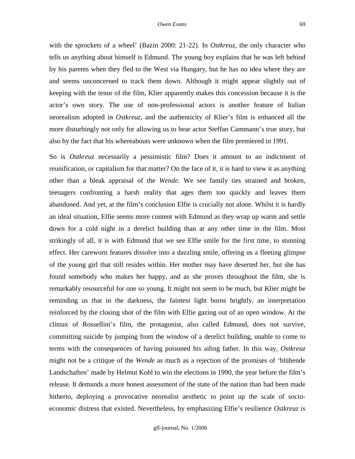with the sprockets of a wheel' (Bazin 2000: 21-22). In *Ostkreuz*, the only character who tells us anything about himself is Edmund. The young boy explains that he was left behind by his parents when they fled to the West via Hungary, but he has no idea where they are and seems unconcerned to track them down. Although it might appear slightly out of keeping with the tenor of the film, Klier apparently makes this concession because it is the actor's own story. The use of non-professional actors is another feature of Italian neorealism adopted in *Ostkreuz*, and the authenticity of Klier's film is enhanced all the more disturbingly not only for allowing us to hear actor Steffan Cammann's true story, but also by the fact that his whereabouts were unknown when the film premiered in 1991.

So is *Ostkreuz* necessarily a pessimistic film? Does it amount to an indictment of reunification, or capitalism for that matter? On the face of it, it is hard to view it as anything other than a bleak appraisal of the *Wende*. We see family ties strained and broken, teenagers confronting a harsh reality that ages them too quickly and leaves them abandoned. And yet, at the film's conclusion Elfie is crucially not alone. Whilst it is hardly an ideal situation, Elfie seems more content with Edmund as they wrap up warm and settle down for a cold night in a derelict building than at any other time in the film. Most strikingly of all, it is with Edmund that we see Elfie smile for the first time, to stunning effect. Her careworn features dissolve into a dazzling smile, offering us a fleeting glimpse of the young girl that still resides within. Her mother may have deserted her, but she has found somebody who makes her happy, and as she proves throughout the film, she is remarkably resourceful for one so young. It might not seem to be much, but Klier might be reminding us that in the darkness, the faintest light burns brightly, an interpretation reinforced by the closing shot of the film with Elfie gazing out of an open window. At the climax of Rossellini's film, the protagonist, also called Edmund, does not survive, committing suicide by jumping from the window of a derelict building, unable to come to terms with the consequences of having poisoned his ailing father. In this way, *Ostkreuz* might not be a critique of the *Wende* as much as a rejection of the promises of 'blühende Landschaften' made by Helmut Kohl to win the elections in 1990, the year before the film's release. It demands a more honest assessment of the state of the nation than had been made hitherto, deploying a provocative neorealist aesthetic to point up the scale of socioeconomic distress that existed. Nevertheless, by emphasizing Elfie's resilience *Ostkreuz* is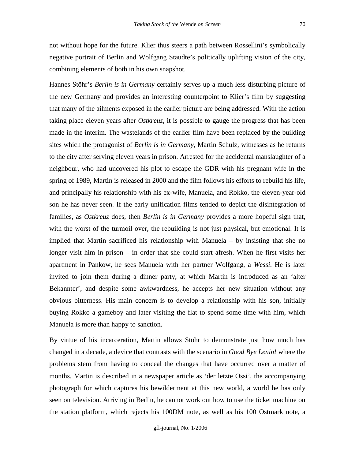not without hope for the future. Klier thus steers a path between Rossellini's symbolically negative portrait of Berlin and Wolfgang Staudte's politically uplifting vision of the city, combining elements of both in his own snapshot.

Hannes Stöhr's *Berlin is in Germany* certainly serves up a much less disturbing picture of the new Germany and provides an interesting counterpoint to Klier's film by suggesting that many of the ailments exposed in the earlier picture are being addressed. With the action taking place eleven years after *Ostkreuz*, it is possible to gauge the progress that has been made in the interim. The wastelands of the earlier film have been replaced by the building sites which the protagonist of *Berlin is in Germany*, Martin Schulz, witnesses as he returns to the city after serving eleven years in prison. Arrested for the accidental manslaughter of a neighbour, who had uncovered his plot to escape the GDR with his pregnant wife in the spring of 1989, Martin is released in 2000 and the film follows his efforts to rebuild his life, and principally his relationship with his ex-wife, Manuela, and Rokko, the eleven-year-old son he has never seen. If the early unification films tended to depict the disintegration of families, as *Ostkreuz* does, then *Berlin is in Germany* provides a more hopeful sign that, with the worst of the turmoil over, the rebuilding is not just physical, but emotional. It is implied that Martin sacrificed his relationship with Manuela – by insisting that she no longer visit him in prison – in order that she could start afresh. When he first visits her apartment in Pankow, he sees Manuela with her partner Wolfgang, a *Wessi*. He is later invited to join them during a dinner party, at which Martin is introduced as an 'alter Bekannter', and despite some awkwardness, he accepts her new situation without any obvious bitterness. His main concern is to develop a relationship with his son, initially buying Rokko a gameboy and later visiting the flat to spend some time with him, which Manuela is more than happy to sanction.

By virtue of his incarceration, Martin allows Stöhr to demonstrate just how much has changed in a decade, a device that contrasts with the scenario in *Good Bye Lenin!* where the problems stem from having to conceal the changes that have occurred over a matter of months. Martin is described in a newspaper article as 'der letzte Ossi', the accompanying photograph for which captures his bewilderment at this new world, a world he has only seen on television. Arriving in Berlin, he cannot work out how to use the ticket machine on the station platform, which rejects his 100DM note, as well as his 100 Ostmark note, a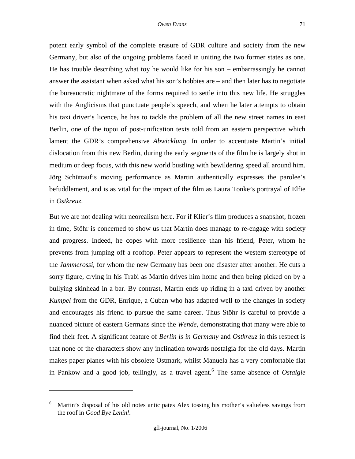potent early symbol of the complete erasure of GDR culture and society from the new Germany, but also of the ongoing problems faced in uniting the two former states as one. He has trouble describing what toy he would like for his son – embarrassingly he cannot answer the assistant when asked what his son's hobbies are – and then later has to negotiate the bureaucratic nightmare of the forms required to settle into this new life. He struggles with the Anglicisms that punctuate people's speech, and when he later attempts to obtain his taxi driver's licence, he has to tackle the problem of all the new street names in east Berlin, one of the topoi of post-unification texts told from an eastern perspective which lament the GDR's comprehensive *Abwicklung*. In order to accentuate Martin's initial dislocation from this new Berlin, during the early segments of the film he is largely shot in medium or deep focus, with this new world bustling with bewildering speed all around him. Jörg Schüttauf's moving performance as Martin authentically expresses the parolee's befuddlement, and is as vital for the impact of the film as Laura Tonke's portrayal of Elfie in *Ostkreuz*.

But we are not dealing with neorealism here. For if Klier's film produces a snapshot, frozen in time, Stöhr is concerned to show us that Martin does manage to re-engage with society and progress. Indeed, he copes with more resilience than his friend, Peter, whom he prevents from jumping off a rooftop. Peter appears to represent the western stereotype of the *Jammerossi*, for whom the new Germany has been one disaster after another. He cuts a sorry figure, crying in his Trabi as Martin drives him home and then being picked on by a bullying skinhead in a bar. By contrast, Martin ends up riding in a taxi driven by another *Kumpel* from the GDR, Enrique, a Cuban who has adapted well to the changes in society and encourages his friend to pursue the same career. Thus Stöhr is careful to provide a nuanced picture of eastern Germans since the *Wende*, demonstrating that many were able to find their feet. A significant feature of *Berlin is in Germany* and *Ostkreuz* in this respect is that none of the characters show any inclination towards nostalgia for the old days. Martin makes paper planes with his obsolete Ostmark, whilst Manuela has a very comfortable flat in Pankow and a good job, tellingly, as a travel agent.<sup>6</sup> The same absence of *Ostalgie*

<sup>6</sup> Martin's disposal of his old notes anticipates Alex tossing his mother's valueless savings from the roof in *Good Bye Lenin!.*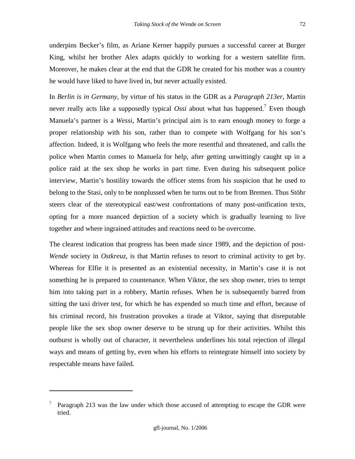underpins Becker's film, as Ariane Kerner happily pursues a successful career at Burger King, whilst her brother Alex adapts quickly to working for a western satellite firm. Moreover, he makes clear at the end that the GDR he created for his mother was a country he would have liked to have lived in, but never actually existed.

In *Berlin is in Germany*, by virtue of his status in the GDR as a *Paragraph 213er*, Martin never really acts like a supposedly typical *Ossi* about what has happened.<sup>7</sup> Even though Manuela's partner is a *Wessi*, Martin's principal aim is to earn enough money to forge a proper relationship with his son, rather than to compete with Wolfgang for his son's affection. Indeed, it is Wolfgang who feels the more resentful and threatened, and calls the police when Martin comes to Manuela for help, after getting unwittingly caught up in a police raid at the sex shop he works in part time. Even during his subsequent police interview, Martin's hostility towards the officer stems from his suspicion that he used to belong to the Stasi, only to be nonplussed when he turns out to be from Bremen. Thus Stöhr steers clear of the stereotypical east/west confrontations of many post-unification texts, opting for a more nuanced depiction of a society which is gradually learning to live together and where ingrained attitudes and reactions need to be overcome.

The clearest indication that progress has been made since 1989, and the depiction of post-*Wende* society in *Ostkreuz*, is that Martin refuses to resort to criminal activity to get by. Whereas for Elfie it is presented as an existential necessity, in Martin's case it is not something he is prepared to countenance. When Viktor, the sex shop owner, tries to tempt him into taking part in a robbery, Martin refuses. When he is subsequently barred from sitting the taxi driver test, for which he has expended so much time and effort, because of his criminal record, his frustration provokes a tirade at Viktor, saying that disreputable people like the sex shop owner deserve to be strung up for their activities. Whilst this outburst is wholly out of character, it nevertheless underlines his total rejection of illegal ways and means of getting by, even when his efforts to reintegrate himself into society by respectable means have failed.

<sup>7</sup> Paragraph 213 was the law under which those accused of attempting to escape the GDR were tried.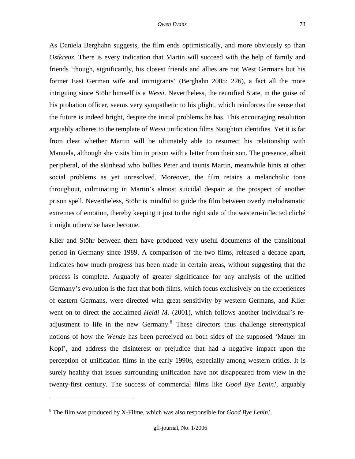As Daniela Berghahn suggests, the film ends optimistically, and more obviously so than *Ostkreuz*. There is every indication that Martin will succeed with the help of family and friends 'though, significantly, his closest friends and allies are not West Germans but his former East German wife and immigrants' (Berghahn 2005: 226), a fact all the more intriguing since Stöhr himself is a *Wessi*. Nevertheless, the reunified State, in the guise of his probation officer, seems very sympathetic to his plight, which reinforces the sense that the future is indeed bright, despite the initial problems he has. This encouraging resolution arguably adheres to the template of *Wessi* unification films Naughton identifies. Yet it is far from clear whether Martin will be ultimately able to resurrect his relationship with Manuela, although she visits him in prison with a letter from their son. The presence, albeit peripheral, of the skinhead who bullies Peter and taunts Martin, meanwhile hints at other social problems as yet unresolved. Moreover, the film retains a melancholic tone throughout, culminating in Martin's almost suicidal despair at the prospect of another prison spell. Nevertheless, Stöhr is mindful to guide the film between overly melodramatic extremes of emotion, thereby keeping it just to the right side of the western-inflected cliché it might otherwise have become.

Klier and Stöhr between them have produced very useful documents of the transitional period in Germany since 1989. A comparison of the two films, released a decade apart, indicates how much progress has been made in certain areas, without suggesting that the process is complete. Arguably of greater significance for any analysis of the unified Germany's evolution is the fact that both films, which focus exclusively on the experiences of eastern Germans, were directed with great sensitivity by western Germans, and Klier went on to direct the acclaimed *Heidi M.* (2001), which follows another individual's readjustment to life in the new Germany. $8$  These directors thus challenge stereotypical notions of how the *Wende* has been perceived on both sides of the supposed 'Mauer im Kopf', and address the disinterest or prejudice that had a negative impact upon the perception of unification films in the early 1990s, especially among western critics. It is surely healthy that issues surrounding unification have not disappeared from view in the twenty-first century. The success of commercial films like *Good Bye Lenin!*, arguably

<sup>8</sup> The film was produced by X-Filme, which was also responsible for *Good Bye Lenin!*.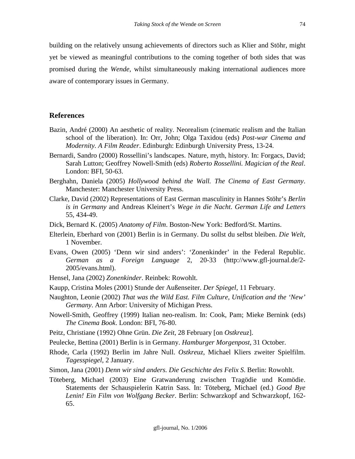building on the relatively unsung achievements of directors such as Klier and Stöhr, might yet be viewed as meaningful contributions to the coming together of both sides that was promised during the *Wende*, whilst simultaneously making international audiences more aware of contemporary issues in Germany.

#### **References**

- Bazin, André (2000) An aesthetic of reality. Neorealism (cinematic realism and the Italian school of the liberation). In: Orr, John; Olga Taxidou (eds) *Post-war Cinema and Modernity. A Film Reader*. Edinburgh: Edinburgh University Press, 13-24.
- Bernardi, Sandro (2000) Rossellini's landscapes. Nature, myth, history. In: Forgacs, David; Sarah Lutton; Geoffrey Nowell-Smith (eds) *Roberto Rossellini. Magician of the Real*. London: BFI, 50-63.
- Berghahn, Daniela (2005) *Hollywood behind the Wall. The Cinema of East Germany*. Manchester: Manchester University Press.
- Clarke, David (2002) Representations of East German masculinity in Hannes Stöhr's *Berlin is in Germany* and Andreas Kleinert's *Wege in die Nacht*. *German Life and Letters* 55, 434-49.
- Dick, Bernard K. (2005) *Anatomy of Film*. Boston-New York: Bedford/St. Martins.
- Elterlein, Eberhard von (2001) Berlin is in Germany. Du sollst du selbst bleiben. *Die Welt*, 1 November.
- Evans, Owen (2005) 'Denn wir sind anders': 'Zonenkinder' in the Federal Republic. *German as a Foreign Language* 2, 20-33 (http://www.gfl-journal.de/2- 2005/evans.html).
- Hensel, Jana (2002) *Zonenkinder*. Reinbek: Rowohlt.
- Kaupp, Cristina Moles (2001) Stunde der Außenseiter. *Der Spiegel*, 11 February.
- Naughton, Leonie (2002) *That was the Wild East. Film Culture, Unification and the 'New' Germany*. Ann Arbor: University of Michigan Press.
- Nowell-Smith, Geoffrey (1999) Italian neo-realism. In: Cook, Pam; Mieke Bernink (eds) *The Cinema Book*. London: BFI, 76-80.
- Peitz, Christiane (1992) Ohne Grün. *Die Zeit*, 28 February [on *Ostkreuz*].
- Peulecke, Bettina (2001) Berlin is in Germany. *Hamburger Morgenpost*, 31 October.
- Rhode, Carla (1992) Berlin im Jahre Null. *Ostkreuz*, Michael Kliers zweiter Spielfilm. *Tagesspiegel*, 2 January.
- Simon, Jana (2001) *Denn wir sind anders. Die Geschichte des Felix S*. Berlin: Rowohlt.
- Töteberg, Michael (2003) Eine Gratwanderung zwischen Tragödie und Komödie. Statements der Schauspielerin Katrin Sass. In: Töteberg, Michael (ed.) *Good Bye Lenin! Ein Film von Wolfgang Becker*. Berlin: Schwarzkopf and Schwarzkopf, 162- 65.